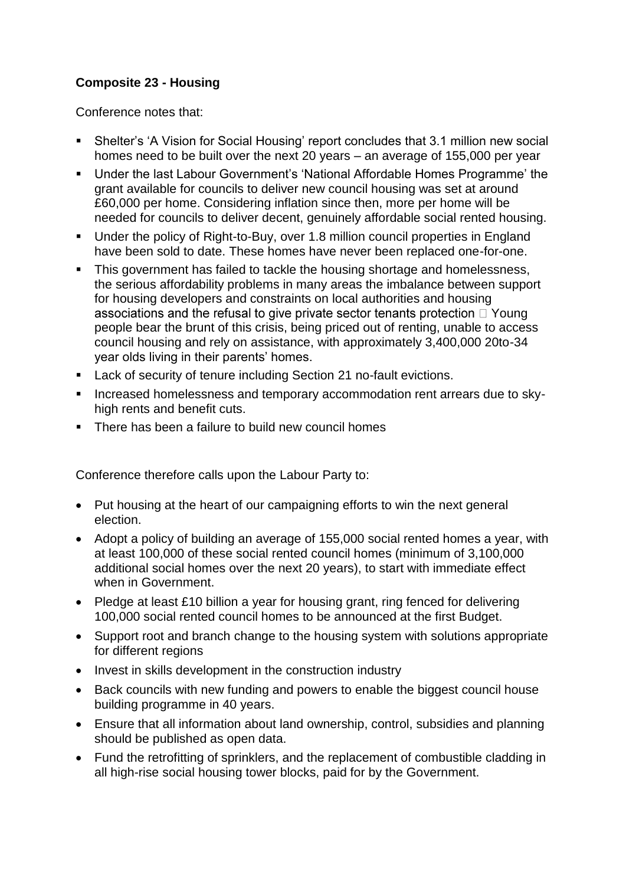## **Composite 23 - Housing**

Conference notes that:

- Shelter's 'A Vision for Social Housing' report concludes that 3.1 million new social homes need to be built over the next 20 years – an average of 155,000 per year
- Under the last Labour Government's 'National Affordable Homes Programme' the grant available for councils to deliver new council housing was set at around £60,000 per home. Considering inflation since then, more per home will be needed for councils to deliver decent, genuinely affordable social rented housing.
- Under the policy of Right-to-Buy, over 1.8 million council properties in England have been sold to date. These homes have never been replaced one-for-one.
- This government has failed to tackle the housing shortage and homelessness, the serious affordability problems in many areas the imbalance between support for housing developers and constraints on local authorities and housing associations and the refusal to give private sector tenants protection  $\Box$  Young people bear the brunt of this crisis, being priced out of renting, unable to access council housing and rely on assistance, with approximately 3,400,000 20to-34 year olds living in their parents' homes.
- **Lack of security of tenure including Section 21 no-fault evictions.**
- **Increased homelessness and temporary accommodation rent arrears due to sky**high rents and benefit cuts.
- **There has been a failure to build new council homes**

Conference therefore calls upon the Labour Party to:

- Put housing at the heart of our campaigning efforts to win the next general election.
- Adopt a policy of building an average of 155,000 social rented homes a year, with at least 100,000 of these social rented council homes (minimum of 3,100,000 additional social homes over the next 20 years), to start with immediate effect when in Government.
- Pledge at least £10 billion a year for housing grant, ring fenced for delivering 100,000 social rented council homes to be announced at the first Budget.
- Support root and branch change to the housing system with solutions appropriate for different regions
- Invest in skills development in the construction industry
- Back councils with new funding and powers to enable the biggest council house building programme in 40 years.
- Ensure that all information about land ownership, control, subsidies and planning should be published as open data.
- Fund the retrofitting of sprinklers, and the replacement of combustible cladding in all high-rise social housing tower blocks, paid for by the Government.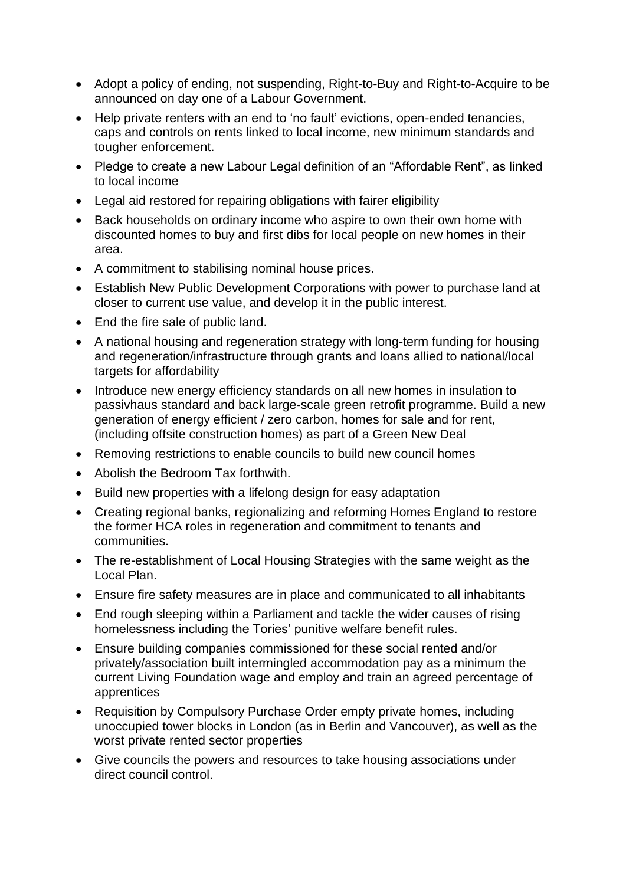- Adopt a policy of ending, not suspending, Right-to-Buy and Right-to-Acquire to be announced on day one of a Labour Government.
- Help private renters with an end to 'no fault' evictions, open-ended tenancies, caps and controls on rents linked to local income, new minimum standards and tougher enforcement.
- Pledge to create a new Labour Legal definition of an "Affordable Rent", as linked to local income
- Legal aid restored for repairing obligations with fairer eligibility
- Back households on ordinary income who aspire to own their own home with discounted homes to buy and first dibs for local people on new homes in their area.
- A commitment to stabilising nominal house prices.
- Establish New Public Development Corporations with power to purchase land at closer to current use value, and develop it in the public interest.
- End the fire sale of public land.
- A national housing and regeneration strategy with long-term funding for housing and regeneration/infrastructure through grants and loans allied to national/local targets for affordability
- Introduce new energy efficiency standards on all new homes in insulation to passivhaus standard and back large-scale green retrofit programme. Build a new generation of energy efficient / zero carbon, homes for sale and for rent, (including offsite construction homes) as part of a Green New Deal
- Removing restrictions to enable councils to build new council homes
- Abolish the Bedroom Tax forthwith.
- Build new properties with a lifelong design for easy adaptation
- Creating regional banks, regionalizing and reforming Homes England to restore the former HCA roles in regeneration and commitment to tenants and communities.
- The re-establishment of Local Housing Strategies with the same weight as the Local Plan.
- Ensure fire safety measures are in place and communicated to all inhabitants
- End rough sleeping within a Parliament and tackle the wider causes of rising homelessness including the Tories' punitive welfare benefit rules.
- Ensure building companies commissioned for these social rented and/or privately/association built intermingled accommodation pay as a minimum the current Living Foundation wage and employ and train an agreed percentage of apprentices
- Requisition by Compulsory Purchase Order empty private homes, including unoccupied tower blocks in London (as in Berlin and Vancouver), as well as the worst private rented sector properties
- Give councils the powers and resources to take housing associations under direct council control.